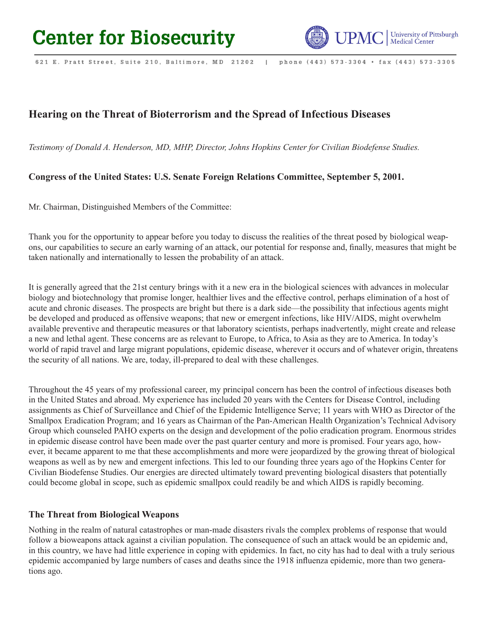

phone (443) 573-3304 · fax (443) 573-3305 621 E. Pratt Street, Suite 210, Baltimore, MD 21202  $\blacksquare$ 

# **Hearing on the Threat of Bioterrorism and the Spread of Infectious Diseases**

*Testimony of Donald A. Henderson, MD, MHP, Director, Johns Hopkins Center for Civilian Biodefense Studies.*

## **Congress of the United States: U.S. Senate Foreign Relations Committee, September 5, 2001.**

Mr. Chairman, Distinguished Members of the Committee:

Thank you for the opportunity to appear before you today to discuss the realities of the threat posed by biological weapons, our capabilities to secure an early warning of an attack, our potential for response and, finally, measures that might be taken nationally and internationally to lessen the probability of an attack.

It is generally agreed that the 21st century brings with it a new era in the biological sciences with advances in molecular biology and biotechnology that promise longer, healthier lives and the effective control, perhaps elimination of a host of acute and chronic diseases. The prospects are bright but there is a dark side—the possibility that infectious agents might be developed and produced as offensive weapons; that new or emergent infections, like HIV/AIDS, might overwhelm available preventive and therapeutic measures or that laboratory scientists, perhaps inadvertently, might create and release a new and lethal agent. These concerns are as relevant to Europe, to Africa, to Asia as they are to America. In today's world of rapid travel and large migrant populations, epidemic disease, wherever it occurs and of whatever origin, threatens the security of all nations. We are, today, ill-prepared to deal with these challenges.

Throughout the 45 years of my professional career, my principal concern has been the control of infectious diseases both in the United States and abroad. My experience has included 20 years with the Centers for Disease Control, including assignments as Chief of Surveillance and Chief of the Epidemic Intelligence Serve; 11 years with WHO as Director of the Smallpox Eradication Program; and 16 years as Chairman of the Pan-American Health Organization's Technical Advisory Group which counseled PAHO experts on the design and development of the polio eradication program. Enormous strides in epidemic disease control have been made over the past quarter century and more is promised. Four years ago, however, it became apparent to me that these accomplishments and more were jeopardized by the growing threat of biological weapons as well as by new and emergent infections. This led to our founding three years ago of the Hopkins Center for Civilian Biodefense Studies. Our energies are directed ultimately toward preventing biological disasters that potentially could become global in scope, such as epidemic smallpox could readily be and which AIDS is rapidly becoming.

#### **The Threat from Biological Weapons**

Nothing in the realm of natural catastrophes or man-made disasters rivals the complex problems of response that would follow a bioweapons attack against a civilian population. The consequence of such an attack would be an epidemic and, in this country, we have had little experience in coping with epidemics. In fact, no city has had to deal with a truly serious epidemic accompanied by large numbers of cases and deaths since the 1918 influenza epidemic, more than two generations ago.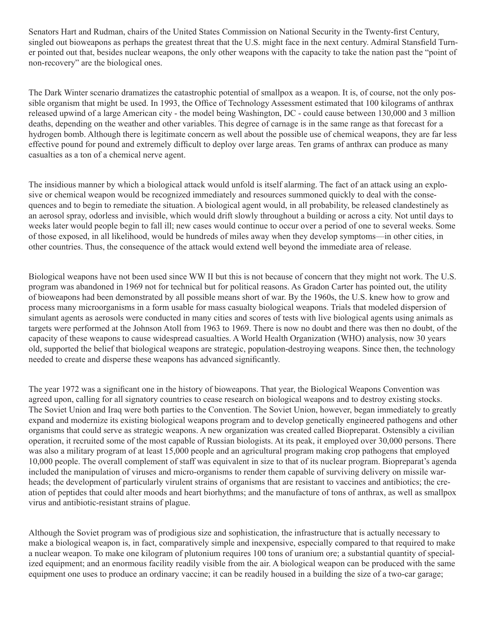Senators Hart and Rudman, chairs of the United States Commission on National Security in the Twenty-first Century, singled out bioweapons as perhaps the greatest threat that the U.S. might face in the next century. Admiral Stansfield Turner pointed out that, besides nuclear weapons, the only other weapons with the capacity to take the nation past the "point of non-recovery" are the biological ones.

The Dark Winter scenario dramatizes the catastrophic potential of smallpox as a weapon. It is, of course, not the only possible organism that might be used. In 1993, the Office of Technology Assessment estimated that 100 kilograms of anthrax released upwind of a large American city - the model being Washington, DC - could cause between 130,000 and 3 million deaths, depending on the weather and other variables. This degree of carnage is in the same range as that forecast for a hydrogen bomb. Although there is legitimate concern as well about the possible use of chemical weapons, they are far less effective pound for pound and extremely difficult to deploy over large areas. Ten grams of anthrax can produce as many casualties as a ton of a chemical nerve agent.

The insidious manner by which a biological attack would unfold is itself alarming. The fact of an attack using an explosive or chemical weapon would be recognized immediately and resources summoned quickly to deal with the consequences and to begin to remediate the situation. A biological agent would, in all probability, be released clandestinely as an aerosol spray, odorless and invisible, which would drift slowly throughout a building or across a city. Not until days to weeks later would people begin to fall ill; new cases would continue to occur over a period of one to several weeks. Some of those exposed, in all likelihood, would be hundreds of miles away when they develop symptoms—in other cities, in other countries. Thus, the consequence of the attack would extend well beyond the immediate area of release.

Biological weapons have not been used since WW II but this is not because of concern that they might not work. The U.S. program was abandoned in 1969 not for technical but for political reasons. As Gradon Carter has pointed out, the utility of bioweapons had been demonstrated by all possible means short of war. By the 1960s, the U.S. knew how to grow and process many microorganisms in a form usable for mass casualty biological weapons. Trials that modeled dispersion of simulant agents as aerosols were conducted in many cities and scores of tests with live biological agents using animals as targets were performed at the Johnson Atoll from 1963 to 1969. There is now no doubt and there was then no doubt, of the capacity of these weapons to cause widespread casualties. A World Health Organization (WHO) analysis, now 30 years old, supported the belief that biological weapons are strategic, population-destroying weapons. Since then, the technology needed to create and disperse these weapons has advanced significantly.

The year 1972 was a significant one in the history of bioweapons. That year, the Biological Weapons Convention was agreed upon, calling for all signatory countries to cease research on biological weapons and to destroy existing stocks. The Soviet Union and Iraq were both parties to the Convention. The Soviet Union, however, began immediately to greatly expand and modernize its existing biological weapons program and to develop genetically engineered pathogens and other organisms that could serve as strategic weapons. A new organization was created called Biopreparat. Ostensibly a civilian operation, it recruited some of the most capable of Russian biologists. At its peak, it employed over 30,000 persons. There was also a military program of at least 15,000 people and an agricultural program making crop pathogens that employed 10,000 people. The overall complement of staff was equivalent in size to that of its nuclear program. Biopreparat's agenda included the manipulation of viruses and micro-organisms to render them capable of surviving delivery on missile warheads; the development of particularly virulent strains of organisms that are resistant to vaccines and antibiotics; the creation of peptides that could alter moods and heart biorhythms; and the manufacture of tons of anthrax, as well as smallpox virus and antibiotic-resistant strains of plague.

Although the Soviet program was of prodigious size and sophistication, the infrastructure that is actually necessary to make a biological weapon is, in fact, comparatively simple and inexpensive, especially compared to that required to make a nuclear weapon. To make one kilogram of plutonium requires 100 tons of uranium ore; a substantial quantity of specialized equipment; and an enormous facility readily visible from the air. A biological weapon can be produced with the same equipment one uses to produce an ordinary vaccine; it can be readily housed in a building the size of a two-car garage;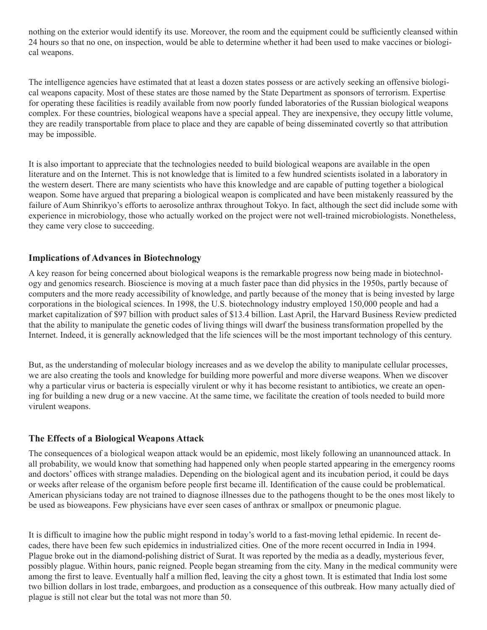nothing on the exterior would identify its use. Moreover, the room and the equipment could be sufficiently cleansed within 24 hours so that no one, on inspection, would be able to determine whether it had been used to make vaccines or biological weapons.

The intelligence agencies have estimated that at least a dozen states possess or are actively seeking an offensive biological weapons capacity. Most of these states are those named by the State Department as sponsors of terrorism. Expertise for operating these facilities is readily available from now poorly funded laboratories of the Russian biological weapons complex. For these countries, biological weapons have a special appeal. They are inexpensive, they occupy little volume, they are readily transportable from place to place and they are capable of being disseminated covertly so that attribution may be impossible.

It is also important to appreciate that the technologies needed to build biological weapons are available in the open literature and on the Internet. This is not knowledge that is limited to a few hundred scientists isolated in a laboratory in the western desert. There are many scientists who have this knowledge and are capable of putting together a biological weapon. Some have argued that preparing a biological weapon is complicated and have been mistakenly reassured by the failure of Aum Shinrikyo's efforts to aerosolize anthrax throughout Tokyo. In fact, although the sect did include some with experience in microbiology, those who actually worked on the project were not well-trained microbiologists. Nonetheless, they came very close to succeeding.

#### **Implications of Advances in Biotechnology**

A key reason for being concerned about biological weapons is the remarkable progress now being made in biotechnology and genomics research. Bioscience is moving at a much faster pace than did physics in the 1950s, partly because of computers and the more ready accessibility of knowledge, and partly because of the money that is being invested by large corporations in the biological sciences. In 1998, the U.S. biotechnology industry employed 150,000 people and had a market capitalization of \$97 billion with product sales of \$13.4 billion. Last April, the Harvard Business Review predicted that the ability to manipulate the genetic codes of living things will dwarf the business transformation propelled by the Internet. Indeed, it is generally acknowledged that the life sciences will be the most important technology of this century.

But, as the understanding of molecular biology increases and as we develop the ability to manipulate cellular processes, we are also creating the tools and knowledge for building more powerful and more diverse weapons. When we discover why a particular virus or bacteria is especially virulent or why it has become resistant to antibiotics, we create an opening for building a new drug or a new vaccine. At the same time, we facilitate the creation of tools needed to build more virulent weapons.

#### **The Effects of a Biological Weapons Attack**

The consequences of a biological weapon attack would be an epidemic, most likely following an unannounced attack. In all probability, we would know that something had happened only when people started appearing in the emergency rooms and doctors' offices with strange maladies. Depending on the biological agent and its incubation period, it could be days or weeks after release of the organism before people first became ill. Identification of the cause could be problematical. American physicians today are not trained to diagnose illnesses due to the pathogens thought to be the ones most likely to be used as bioweapons. Few physicians have ever seen cases of anthrax or smallpox or pneumonic plague.

It is difficult to imagine how the public might respond in today's world to a fast-moving lethal epidemic. In recent decades, there have been few such epidemics in industrialized cities. One of the more recent occurred in India in 1994. Plague broke out in the diamond-polishing district of Surat. It was reported by the media as a deadly, mysterious fever, possibly plague. Within hours, panic reigned. People began streaming from the city. Many in the medical community were among the first to leave. Eventually half a million fled, leaving the city a ghost town. It is estimated that India lost some two billion dollars in lost trade, embargoes, and production as a consequence of this outbreak. How many actually died of plague is still not clear but the total was not more than 50.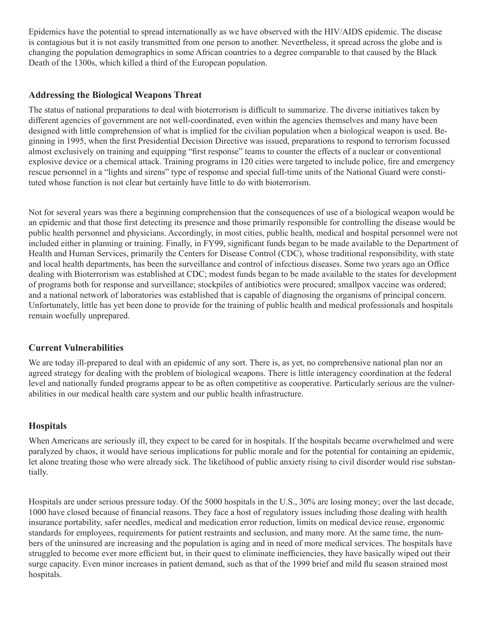Epidemics have the potential to spread internationally as we have observed with the HIV/AIDS epidemic. The disease is contagious but it is not easily transmitted from one person to another. Nevertheless, it spread across the globe and is changing the population demographics in some African countries to a degree comparable to that caused by the Black Death of the 1300s, which killed a third of the European population.

## **Addressing the Biological Weapons Threat**

The status of national preparations to deal with bioterrorism is difficult to summarize. The diverse initiatives taken by different agencies of government are not well-coordinated, even within the agencies themselves and many have been designed with little comprehension of what is implied for the civilian population when a biological weapon is used. Beginning in 1995, when the first Presidential Decision Directive was issued, preparations to respond to terrorism focussed almost exclusively on training and equipping "first response" teams to counter the effects of a nuclear or conventional explosive device or a chemical attack. Training programs in 120 cities were targeted to include police, fire and emergency rescue personnel in a "lights and sirens" type of response and special full-time units of the National Guard were constituted whose function is not clear but certainly have little to do with bioterrorism.

Not for several years was there a beginning comprehension that the consequences of use of a biological weapon would be an epidemic and that those first detecting its presence and those primarily responsible for controlling the disease would be public health personnel and physicians. Accordingly, in most cities, public health, medical and hospital personnel were not included either in planning or training. Finally, in FY99, significant funds began to be made available to the Department of Health and Human Services, primarily the Centers for Disease Control (CDC), whose traditional responsibility, with state and local health departments, has been the surveillance and control of infectious diseases. Some two years ago an Office dealing with Bioterrorism was established at CDC; modest funds began to be made available to the states for development of programs both for response and surveillance; stockpiles of antibiotics were procured; smallpox vaccine was ordered; and a national network of laboratories was established that is capable of diagnosing the organisms of principal concern. Unfortunately, little has yet been done to provide for the training of public health and medical professionals and hospitals remain woefully unprepared.

## **Current Vulnerabilities**

We are today ill-prepared to deal with an epidemic of any sort. There is, as yet, no comprehensive national plan nor an agreed strategy for dealing with the problem of biological weapons. There is little interagency coordination at the federal level and nationally funded programs appear to be as often competitive as cooperative. Particularly serious are the vulnerabilities in our medical health care system and our public health infrastructure.

## **Hospitals**

When Americans are seriously ill, they expect to be cared for in hospitals. If the hospitals became overwhelmed and were paralyzed by chaos, it would have serious implications for public morale and for the potential for containing an epidemic, let alone treating those who were already sick. The likelihood of public anxiety rising to civil disorder would rise substantially.

Hospitals are under serious pressure today. Of the 5000 hospitals in the U.S., 30% are losing money; over the last decade, 1000 have closed because of financial reasons. They face a host of regulatory issues including those dealing with health insurance portability, safer needles, medical and medication error reduction, limits on medical device reuse, ergonomic standards for employees, requirements for patient restraints and seclusion, and many more. At the same time, the numbers of the uninsured are increasing and the population is aging and in need of more medical services. The hospitals have struggled to become ever more efficient but, in their quest to eliminate inefficiencies, they have basically wiped out their surge capacity. Even minor increases in patient demand, such as that of the 1999 brief and mild flu season strained most hospitals.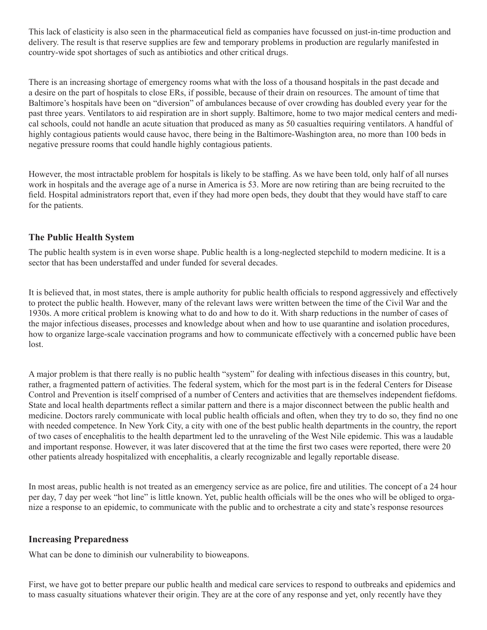This lack of elasticity is also seen in the pharmaceutical field as companies have focussed on just-in-time production and delivery. The result is that reserve supplies are few and temporary problems in production are regularly manifested in country-wide spot shortages of such as antibiotics and other critical drugs.

There is an increasing shortage of emergency rooms what with the loss of a thousand hospitals in the past decade and a desire on the part of hospitals to close ERs, if possible, because of their drain on resources. The amount of time that Baltimore's hospitals have been on "diversion" of ambulances because of over crowding has doubled every year for the past three years. Ventilators to aid respiration are in short supply. Baltimore, home to two major medical centers and medical schools, could not handle an acute situation that produced as many as 50 casualties requiring ventilators. A handful of highly contagious patients would cause havoc, there being in the Baltimore-Washington area, no more than 100 beds in negative pressure rooms that could handle highly contagious patients.

However, the most intractable problem for hospitals is likely to be staffing. As we have been told, only half of all nurses work in hospitals and the average age of a nurse in America is 53. More are now retiring than are being recruited to the field. Hospital administrators report that, even if they had more open beds, they doubt that they would have staff to care for the patients.

## **The Public Health System**

The public health system is in even worse shape. Public health is a long-neglected stepchild to modern medicine. It is a sector that has been understaffed and under funded for several decades.

It is believed that, in most states, there is ample authority for public health officials to respond aggressively and effectively to protect the public health. However, many of the relevant laws were written between the time of the Civil War and the 1930s. A more critical problem is knowing what to do and how to do it. With sharp reductions in the number of cases of the major infectious diseases, processes and knowledge about when and how to use quarantine and isolation procedures, how to organize large-scale vaccination programs and how to communicate effectively with a concerned public have been lost.

A major problem is that there really is no public health "system" for dealing with infectious diseases in this country, but, rather, a fragmented pattern of activities. The federal system, which for the most part is in the federal Centers for Disease Control and Prevention is itself comprised of a number of Centers and activities that are themselves independent fiefdoms. State and local health departments reflect a similar pattern and there is a major disconnect between the public health and medicine. Doctors rarely communicate with local public health officials and often, when they try to do so, they find no one with needed competence. In New York City, a city with one of the best public health departments in the country, the report of two cases of encephalitis to the health department led to the unraveling of the West Nile epidemic. This was a laudable and important response. However, it was later discovered that at the time the first two cases were reported, there were 20 other patients already hospitalized with encephalitis, a clearly recognizable and legally reportable disease.

In most areas, public health is not treated as an emergency service as are police, fire and utilities. The concept of a 24 hour per day, 7 day per week "hot line" is little known. Yet, public health officials will be the ones who will be obliged to organize a response to an epidemic, to communicate with the public and to orchestrate a city and state's response resources

## **Increasing Preparedness**

What can be done to diminish our vulnerability to bioweapons.

First, we have got to better prepare our public health and medical care services to respond to outbreaks and epidemics and to mass casualty situations whatever their origin. They are at the core of any response and yet, only recently have they